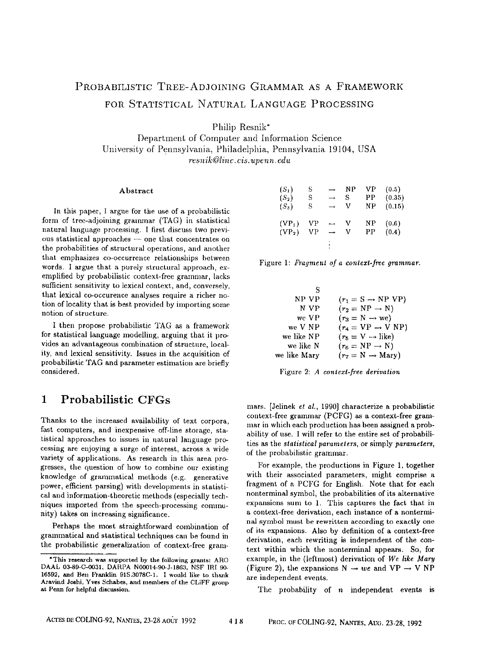# PROBABILISTIC TREE-ADJOINING GRAMMAR AS A FRAMEWORK FOR STATISTICAL NATURAL LANGUAGE PROCESSING

Philip Resnik\*

Department of Computer and Information Science University of Pennsylvania, Philadelphia, Pennsylvania 19104, USA *resnik@Iinc.cis, upenn, edu* 

#### Abstract

In this paper, I argue for the use of a probabilistic form of tree-adjoining grammar (TAG) in statistical natural language processing. I first discuss two previous statistical approaches --- one that concentrates on the probabilities of structural operations, and another that emphasizes co-occurrence relationships between words. I argue that a purely structural approach, exemplified by probabilistie context-free grammar, lacks sufficient sensitivity to lexical context, and, conversely, that lexical co-occurence analyses require a richer notion of locality that is best provided by importing some notion of structure.

I then propose probabilistie TAG as a framework for statistical language modelling, arguing that it provides an advantageous combination of structure, locality, and lexical sensitivity. Issues in the acquisition of probabilistie TAG and parameter estimation are briefly considered.

# **1 Probabilistic CFGs**

Thanks to the increased availability of text corpora, fast computers, and inexpensive off-line storagc, statistical approaches to issues in natural language processing are enjoying a surge of interest, across a wide variety of applications. As research in this area progresses, the question of how to combine our existing knowledge of grammatical methods (e.g. generative power, efficient parsing) with developments in statistical and information-theoretic methods (especially techniques imported from the speech-processing community) takes on increasing significance.

Perhaps the most straightforward combination of grammatical and statistical techniques can be found in the probabilistic generalization of context-free gram-

| $(S_1)$  | S  | -             | ΝP | VP | (0.5)  |
|----------|----|---------------|----|----|--------|
| $(S_2)$  | S  | $\rightarrow$ | S  | ΡP | (0.35) |
| $(S_3)$  | S  | $\rightarrow$ | v  | NΡ | (0.15) |
| $(VP_1)$ | VP |               | v  | NΡ | (0.6)  |
| $(VP_2)$ | VР | →             | v  | РP | (0.4)  |
|          |    |               |    |    |        |

|  |  |  |  |  | Figure 1: Fragment of a context-free grammar. |  |
|--|--|--|--|--|-----------------------------------------------|--|
|--|--|--|--|--|-----------------------------------------------|--|

| S            |                               |
|--------------|-------------------------------|
| NP VP        | $(r_1 = S \rightarrow NP VP)$ |
| N VP         | $(r_2 = NP \rightarrow N)$    |
| we VP        | $(r_3 = N \rightarrow we)$    |
| we V NP      | $(r_4 = VP \rightarrow VP)$   |
| we like NP   | $(r_5 = V \rightarrow like)$  |
| we like N    | $(r_6 = NP \rightarrow N)$    |
| we like Mary | $(r_7 = N \rightarrow Mary)$  |

Figure 2: *A context-free derivation* 

mars. [Jelinek *et al.,* 1990] characterize a probabilistic context-free grammar (PCFG) as a context-free grammar in which each production has been assigned a probability of use. I will refer to the entire set of probabilities as the *statistical parameters,* or simply *parameters,*  of the probabilistie grammar.

For example, the productions in Figure 1, together with their associated parameters, might comprise a fragment of a PCFG for English. Note that for each nonterminal symbol, the probabilities of its alternative expansions sum to 1. This captures the fact that in a context-free derivation, each instance of a nontermina] symbol must be rewritten according to exactly one of its expansions. Also by definition of a context-free derivation, each rewriting is independent of the context within which the nonterminal appears. So, for example, in the (leftmost) derivation of *We like Mary*  (Figure 2), the expansions  $N \rightarrow we$  and  $VP \rightarrow V NP$ are independent events.

The probability of  $n$  independent events is

<sup>\*</sup>This research was supported by the following grants: ARO DAAL 03~9-C-0031, DARPA N00014-90-J-1863, NSF lRI 90- 16592, and Ben Franklin 91S.3078C-1, I would like to thank Aravind Joshi, Yves Schabes, and members of the CLIFF group at Penn for helpful discussion.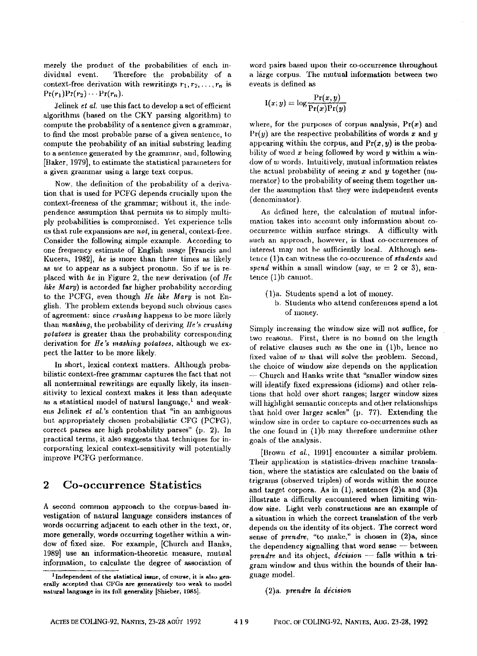merely the product of the probabilities of each individual event. Therefore the probability of a context-free derivation with rewritings  $r_1, r_2, \ldots, r_n$  is  $Pr(r_1)Pr(r_2) \cdots Pr(r_n)$ .

Jelinek et *al.* use this fact to develop a set of efficient algorithms (based on the CKY parsing algorithm) to compute the probability of a sentence given a grammar, to find the most probable parse of a given sentence, to compute the probability of an initial substring leading to a sentence generated by the grammar, and, following [Baker, 1979], to estimate the statistical parameters for a given grammar using a large text corpus.

Now, the definition of the probability of a derivation that is used for PCFG depends crucially upon the context-freeness of the grammar; without it, the independence assumption that permits us to simply multiply probabilities is compromised. Yet experience tells us that rule expmmions are *not,* in general, context-free. Consider the following simple example. According to one frequency estimate of English usage [Francis and Kucera, 1982], *he* is more than three times as likely *as we* to appear as a subject pronoun. So if *we* is replaced with *he* in Figure 2, the new derivation (of *He hke Mary)* is accorded far higher probability according to the PCFG, even though *He like Mary* is not English. The problem extends beyond such obvious cases of agreenmnt: since *crushing* happens to be more likely than *mashing,* the probability of deriving *lie's crushing potatoes* is greater than the probability corresponding derivation for *He's mashing potatoes,* although we expect the latter to be more likely.

In short, lexical context matters. Although probabilistic context-free grammar captures the fact that not all nonterminal rewritings are equally likely, its insensitivity to lexical context makes it less than adequate as a statistical model of natural language,<sup>1</sup> and weakens Jelinek *et al.*'s contention that "in an ambiguous but appropriately chosen probabilistic CFG (PCFG), correct parses are high probability parses" (p. 2). In practical terms, it also suggests that techniques for incorporatiug lexical context-sensitivity will potentially improve PCFG performance.

## **2 Co-occurrence Statistics**

A second common approach to the corpus-based investigation of natural language considers instances of words occurring adjacent to each other in the text, or, more generally, words occurring together within a window of fixed size. For example, [Church and Hanks, 1989] use an information-theoretic measure, mutual information, to calculate the degree of association of word pairs based upon their co-occurrence throughout a large corpus. The mutual information between two events is defined as

$$
I(x; y) = \log \frac{\Pr(x, y)}{\Pr(x)\Pr(y)}
$$

where, for the purposes of corpus analysis,  $Pr(x)$  and  $Pr(y)$  are the respective probabilities of words x and y appearing within the corpus, and  $Pr(x, y)$  is the probability of word  $x$  being followed by word  $y$  within a window of w words. Intuitively, mutual information relates the actual probability of seeing  $x$  and  $y$  together (numerator) to the probability of seeing them together under the assumption that they were independent events (denominator).

As defined here, tbe calculation of mutual information takes into account only information about cooccurrence within surface strings. A difficulty with such an approach, however, is that co-occurrences of interest may not be sufficiently local. Although sentence (1)a can witness the co-oceurence of *students* and *spend* within a small window (say,  $w = 2$  or 3), sentence (1)b cannot.

- (1)a. Students spend a lot of money.
	- b. Students who attend conferances spend a lot of money.

Simply increasing the window size will not suffice, for two reasons. First, there is no bound on the length of relative clauses such as the one in (1)b, hence no fixed value of w that will solve the problem. Second, the choice of window size depends on the application Church and Hanks write that "smaller window sizes will identify fixed expressions (idioms) and other relations that hold over short ranges; larger window sizes will highlight semantic concepts and other relationships that hold over larger scales" (p. 77). Extending the window size in order to capture co-occurrences such as the one found in (1)b may therefore undermine other goals of the analysis.

[Brown *et ul.,* 1991] encounter a similar problem. Their application is statistics-driven machine translation, where the statistics are calculated on the basis of trigranm (observed triples) of words within the source and target corpora. As in (1), sentences (2)a and (3)a illustrate a difficulty encountered when limiting window size. Light verb constructions are an example of a situation in which the correct translation of the verb depends on the identity of its object. The correct word sense of *prendre*, "to make," is chosen in (2)a, since the dependency signalling that word sense -- between *prendre* and its object, *décision* -- falls within a trigram window and thus within the bounds of their language model.

#### (2)a. *prendre la decision*

 $1$ Independent of the statistical issue, of course, it is also generally accepted that CFGs are gcneratively too weak to model natural language in its full generality [Shieber, 1985].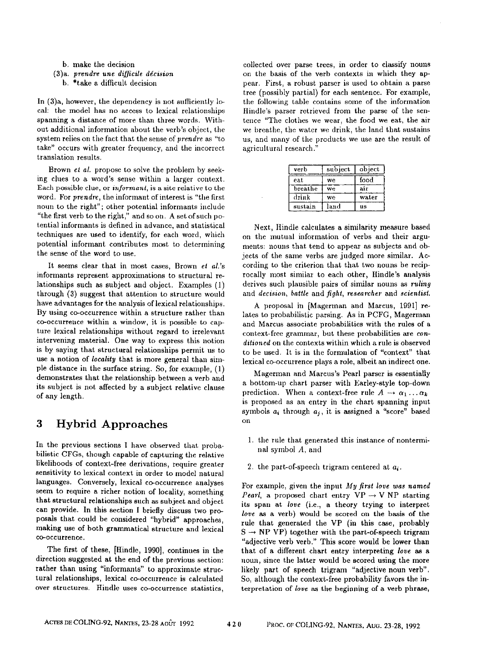b. make the decision

(3)a. *prendre une di]fficile dgcision* 

b. \*take a difficult decision

In (3)a, however, the dependency is not sufficiently local: the model has no access to lexical relationships spanning a distance of more than three words. Without additional information about the verb's object, the system relies on the fact that the sense of *prendre* as "to take" occurs with greater frequency, and the incorrect translation results.

Brown et *al.* propose to solve the problem by seeking clues to a word's sense within a larger context. Each possible clue, or *informant*, is a site relative to the word. For *prendre,* the informant of interest is "the first noun to the right"; other potential informants include "the first verb to the right," and so on. A set of such potential informants is defined in advance, and statistical techniques are used to identify, for each word, which potential informant contributes most to determining the sense of the word to use.

It seems clear that in most cases, Brown et *al.'s*  informants represent approximations to structural relationships such as subject and object. Examples (1) through (3) suggest that attention to structure would have advantages for the analysis of lexical relationships. By using co-occurrence within a structure rather than co-occurrence within a window, it is possible to capture lexical relationships without regard to irrelevant intervening material. One way to express this notion is by saying that structural relationships permit us to use a notion of *locality* that is more general than simple distance in the surface string. So, for example, (1) demonstrates that the relationship between a verb and its subject is not affected by a subject relative clanse of any length.

# **<sup>3</sup>**Hybrid Approaches

In the previous sections I have observed that probabillstic CFGs, though capable of capturing the relative likelihoods of context-free derivations, require greater sensitivity to lexical context in order to model natural languages. Conversely, lexical co-occurrence analyses seem to require a richer notion of locality, something that structural relationships such as subject and object can provide. In this section I briefly discuss two proposals that could be considered "hybrid" approaches, making use of both grammatical structure and lexical co-occurrence,

The first of these, [Hindle, 1990], continues in the direction suggested at the end of the previous section: rather than using "informants" to approximate structural relationships, lexical eo-oecnrrenee is calculated over structures. Hindle uses co-occurrence statistics,

collected over parse trees, in order to classify nouns on the basis of the verb contexts in which they appear. First, a robust parser is used to obtain a parse tree (possibly partial) for each sentence. For example, the following table contains some of the information Hindle's parser retrieved from the parse of the sentence "The clothes we wear, the food we eat, the air we breathe, the watcr we drink, the land that sustains us, and many of the prodncts we use are the result of agricultural research."

| verb    | subject | object |
|---------|---------|--------|
| eat     | we.     | food   |
| breathe | we      | air    |
| drink   | we      | water  |
| sustain | land    | 118    |

Next, Hindle calculates a similarity measure based on the mutual information of verbs and their arguments: nouns that tend to appear as subjects and objects of the same verbs are judged more similar. According to the criterion that that two nouns be reciprocally most similar to each other, Hindle's analysis derives such plausible pairs of similar nonns as *ruling*  and *decision, battle* and *fight, researcher* and *scientist.* 

A proposal in [Magerman and Marcus, 1991] relates to probabilistie parsing. As in PCFG, Magerman and Marcus associate probabilities with the rules of a context-free grammar, but these probabilities are *conditioned on* the contexts within which a rule is observed to be used. It is in the formulation of "context" that lexical co-occurrence plays a role, albeit an indirect one.

Magerman and Marcus's Pearl parser is essentially a bottom-up chart parser with Earley-style top-down prediction. When a context-free rule  $A \rightarrow \alpha_1 \dots \alpha_k$ is proposed as an entry in the chart spanning input symbols  $a_i$  through  $a_i$ , it is assigned a "score" based on

- 1. the rule that generated this instance of nonterminal symbol A, and
- 2. the part-of-speech trigram centered at  $a_i$ .

For example, given the input *My first love was named Pearl,* a proposed chart entry  $VP \rightarrow V NP$  starting its span at *love* (i.e., a theory trying to interpret *love* as a verb) would be scored on the basis of the rule that generated the VP (in this ease, probably  $S \rightarrow NP VP$ ) together with the part-of-speech trigram "adjective verb verb." This score would be lower than that of a different chart entry interpreting *love as a*  noun, since the latter would be scored using the more likely part of speech trigram "adjective noun verb". So, although the context-free probability favors the interpretation of *love as* the beginning of a verb phrase,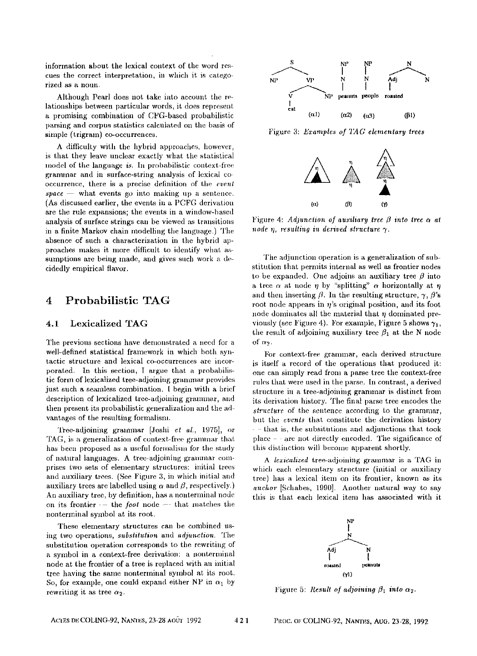information about the lexical context of the word rescues the correct interpretation, in which it is categorized as a noun.

Although Pearl does not take into account the relationships between particular words, it does represent a promising combiuation of CFG-based probahilistic parsing and corpus statistics calculated on the basis of simple (trigram) co-occurrences.

A difficulty with the hybrid approaches, however, is that they leave unclear exactly what the statistical model of the language *is*. In probabilistic context-free grammar and in surface-string analysis of lexical cooccurrence, there is a precise deIinition of the *event*   $space$   $-$  what events go into making up a sentence. (As discussed earlier, the events in a PCFG derivation are the rule expansions; the events in a window-based analysis of surface strings can be viewed as transitions in a finite Markov chain modelling the language.) The absence of such a characterization in the hybrid approaches makes it more difficult to identify what assumptions are being made, and gives such work a decidedly empirical flavor.

## **4 Probabilistic TAG**

## 4.1 Lexicalized TAG

The previous sections have demonstrated a need for a well-defned statistical framework in which both syntactic structure and lexical co-occurrences are incorporated. In this section, I argue that a probabilistic form of lexicalized tree-adjoining grammar provides just such a seamless combination. I begin with a brief description of lcxicalized tree-adjoining grammar, and then present its probabilistic generalization and the advantages of the resulting formalism.

Tree-adjoining grammar [Joshi et al., 1975], or TAG, is a generalization of context-free grammar that has been proposed as a useful formalism for the study of natural languages. A tree-adjoining grammar eompriscs two sets of elementary structures: initial trees and auxiliary trees. (See Figure 3, in which initial and auxiliary trees are labelled using  $\alpha$  and  $\beta$ , respectively.) An auxiliary tree, by definition, has a uonterminal node on its frontier  $\cdot$  – the *foot* node  $-$  that matches the nonterminal symbol at its root.

These elementary structures can be combined using two operations, *substitution* and *adjunction.* The substitution operation corresponds to the rewriting of a symbol in a context-free derivation: a nonterminal node at the frontier of a tree is replaced with au initial tree having the same nonterminal symbol at its rout. So, for example, one could expand either NP in  $\alpha_1$  by rewriting it as tree  $\alpha_2$ .



Figure 3: *Examples of TAG elementary frees* 



Figure 4: *Adjunction of auxiliary tree*  $\beta$  *into tree*  $\alpha$  *at*  $node \eta$ , resulting in derived structure  $\gamma$ .

The adjunction operation is a generalization of substitution that permits internal as well as frontier nodes to be expanded. One adjoins an auxiliary tree  $\beta$  into a tree  $\alpha$  at node  $\eta$  by "splitting"  $\alpha$  horizontally at  $\eta$ and then inserting  $\beta$ . In the resulting structure,  $\gamma$ ,  $\beta$ 's root node appears in  $\eta$ 's original position, and its foot node dominates all the material that  $\eta$  dominated previously (see Figure 4). For example, Figure 5 shows  $\gamma_1$ , the result of adjoining auxiliary tree  $\beta_1$  at the N node of  $\alpha$ <sup>2</sup>.

For context-free grammar, each derived structure is itself a record of the operations that produced it: one can simply read from a parse tree the context-free rules that were used in the parse. In contrast, a derived structure in a tree-adjoining grammar is distinct from its derivation history. The final parse tree encodes the *slruclure of* the sentence according to the grammar, but the *events* that constitute the derivation history that is, the subsitutions and adjunctions that took place  $-\cdot$  are not directly encoded. The significance of this distinction will become apparent shortly.

A *lexicalized* tree-adjoining grammar is a TAG in which each elementary structure (initial or auxiliary tree) has a lexieal item on its frontier, known as its *anchor* [Schabes, 1990]. Another natural way to say this is that each lexical item has associated with it



Figure 5: *Result of adjoining*  $\beta_1$  into  $\alpha_2$ .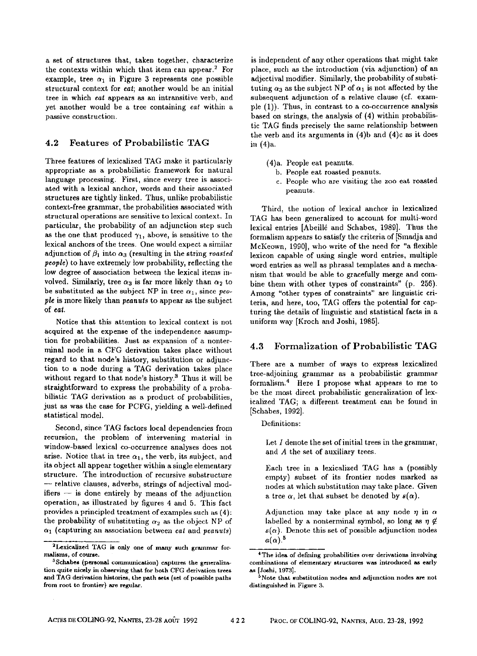a set of structures that, taken together, characterize the contexts within which that item can appear.<sup>2</sup> For example, tree  $\alpha_1$  in Figure 3 represents one possible structural context for *eat;* another would be an initial tree in which *eat* appears as an intransitive verb, and yet another would be a tree containing *eat* within a passive construction.

### **4.2 Features of** Probabilistic TAG

Three features of lexicalized TAG make it particularly appropriate as a probabilistic framework for natural language processing. First, since every tree is associated with a lexical anchor, words and their associated structures are tightly linked. Thus, unlike probabilistic context-free grammar, the probabilities associated with structural operations are sensitive to lexical context. In particular, the probability of an adjunetion step such as the one that produced  $\gamma_1$ , above, is sensitive to the lexical anchors of the trees. One would expect a similar adjunction of  $\beta_1$  into  $\alpha_3$  (resulting in the string *roasted people)* to have extremely low probability, reflecting the low degree of association between the lexical items involved. Similarly, tree  $\alpha_3$  is far more likely than  $\alpha_2$  to be substituted as the subject NP in tree  $\alpha_1$ , since *people* is more likely than *peanuts* to appear as the subject of *eat.* 

Notice that this attention to lexical context is not acquired at the expense of the independence assumption for probabilities. Just as expansion of a nonterminal node in a CFG derivation takes place without regard to that node's history, substitution or adjunction to a node during a TAG derivation takes place without regard to that node's history.<sup>3</sup> Thus it will be straightforward to express the probability of a probabilistic TAG derivation as a product of probabilities, just as was the case for PCFG, yielding a well-defined statistical model.

Second, since TAG factors local dependencies from recursion, the problem of intervening material in window-based lexical co-occurrence analyses does not arise. Notice that in tree  $\alpha_1$ , the verb, its subject, and its object all appear together within a single elementary structure. The introduction of recursive substructure **--** relative clauses, adverbs, strings of adjectival mod $if  $f$  is done entirely by means of the adiunction$ operation, as illustrated by figures 4 and 5. This fact provides a principled treatment of examples such as (4): the probability of substituting  $\alpha_2$  as the object NP of  $\alpha_1$  (capturing an association between *eat* and *peanuts*)

is independent of any other operations that might take place, such as the introduction (via adjunction) of an adjectival modifier. Similarly, the probability of substituting  $\alpha_3$  as the subject NP of  $\alpha_1$  is not affected by the subsequent adjunction of a relative clause (cf. exampie (1)). Thus, in contrast to a co-occnrrence analysis based on strings, the analysis of (4) within probabilistic TAG finds precisely the same relationship between the verb and its arguments in (4)b and (4)c as it does in (4)a.

- (4)a. People eat peanuts.
	- b. People eat roasted peanuts.
	- c. People who are visiting the zoo eat roasted peanuts.

Third, the notion of lexical anchor in lexicalized TAG has been generalized to account for multi-word lexicat entries [Abeill6 and Schabes, 1989]. Thus the formalism appears to satisfy the criteria of [Smadja and McKeown, 1990], who write of the need for "a flexible lexicon capable of using single word entries, multiple word entries as well as phrasal templates and a mechanism that would be able to gracefully merge and combine them with other types of constraints" (p. 256). Among "other types of constraints" are linguistic criteria, and here, too, TAG offers the potential for capturing the details of linguistic and statistical facts in a uniform way [Kroch and Joshi, 1985].

### **4.3 Formalization of Probabilistic** TAG

There are a number of ways to express lexicalized tree-adjoining grammar as a probabilistic grammar formalism. 4 Here I propose what appears to me to be the most direct probabilistic generalization of lexiealized TAG; a different treatment can be found in [Schabes, 1992].

Definitions:

Let  $I$  denote the set of initial trees in the grammar, and A the set of auxiliary trees.

Each tree in a lexlcalized TAG has a (possibly empty) subset of its frontier nodes marked as nodes at which substitution may take place. Given a tree  $\alpha$ , let that subset be denoted by  $s(\alpha)$ .

Adjunction may take place at any node  $\eta$  in  $\alpha$ labelled by a nonterminal symbol, so long as  $\eta \notin$  $s(\alpha)$ . Denote this set of possible adjunction nodes  $a(\alpha)$ <sup>5</sup>

<sup>&</sup>lt;sup>2</sup>Lexicalized TAG is only one of many such grammar for**malisms, of course.** 

 $3$ Schabes (personal communication) captures the generalization quite nicely in observing that for both CFG derivation trees and TAG derivation histories, the path sets (set of possible paths from **root to** frontier) are regular.

<sup>4</sup> The idea of defining probabilities over derivations involving combinations of elementary structures was introduced as early [Joshi, 1973].

<sup>&</sup>lt;sup>5</sup> Note that substitution nodes and adjunction nodes are not distinguished in Figure 3.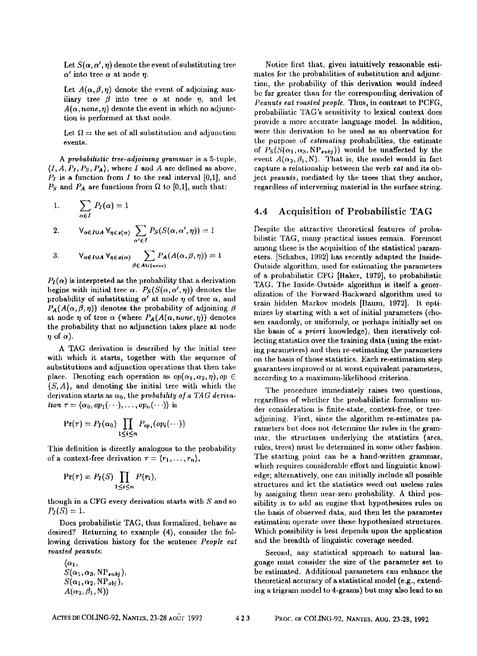Let  $S(\alpha, \alpha', \eta)$  denote the event of substituting tree  $\alpha'$  into tree  $\alpha$  at node n.

Let  $A(\alpha,\beta,\eta)$  denote the event of adjoining auxiliary tree  $\beta$  into tree  $\alpha$  at node  $\eta$ , and let  $A(\alpha, none, \eta)$  denote the event in which no adjunction is performed at that node.

Let  $\Omega =$  the set of all substitution and adjunction events.

*A probabilis~ic tree-adjoining grammar* is a 5-tuple,  $(I, A, P_I, P_S, P_A)$ , where I and A are defined as above,  $P_I$  is a function from I to the real interval [0,1], and  $P<sub>S</sub>$  and  $P<sub>A</sub>$  are functions from  $\Omega$  to [0,1], such that:

1. 
$$
\sum_{\alpha \in I} P_I(\alpha) = 1
$$

2. 
$$
\forall_{\alpha \in I \cup A} \forall_{\eta \in \mathfrak{s}(\alpha)} \sum_{\alpha' \in I} P_S(S(\alpha, \alpha', \eta)) = 1
$$

3. 
$$
\mathsf{V}_{\alpha \in I \cup A} \, \mathsf{V}_{\eta \in a(\alpha)} \sum_{\beta \in A \cup \{\text{non}\}\n} P_A(A(\alpha, \beta, \eta)) = 1
$$

 $P_{I}(\alpha)$  is interpreted as the probability that a derivation begins with initial tree  $\alpha$ .  $P_S(S(\alpha, \alpha', \eta))$  denotes the probability of substituting  $\alpha'$  at node  $\eta$  of tree  $\alpha$ , and  $P_{\mathcal{A}}(A(\alpha,\beta,\eta))$  denotes the probability of adjoining  $\beta$ at node  $\eta$  of tree  $\alpha$  (where  $P_A(A(\alpha, none,\eta))$  denotes the probability that no adjunetion takes place at node  $\eta$  of  $\alpha$ ).

A TAG derivation is described by the initial tree with which it starts, together with the sequence of substitutions and adjunction operations that then take place. Denoting each operation as  $op(\alpha_1,\alpha_2,\eta),op \in$  $\{S, A\}$ , and denoting the initial tree with which the derivation starts as  $\alpha_0$ , the *probability of a TAG derivation*  $\tau = \langle \alpha_0, op_1(\cdots), \ldots, op_n(\cdots) \rangle$  is

$$
Pr(\tau) = P_I(\alpha_0) \prod_{1 \leq i \leq n} P_{op_i}(op_i(\cdots))
$$

This definition is directly analogous to the probability of a context-free derivation  $\tau = \langle r_1, \ldots, r_n \rangle$ ,

$$
\Pr(\tau) = P_I(S) \prod_{1 \leq i \leq n} P(r_i),
$$

though in a CFG every derivation starts with  $S$  and so  $P_I(S) = 1.$ 

Does probabilistic TAG, thus formalized, behave as desired? Returning to example (4), consider the following derivation history for the sentence *People eat roasted peanuts:* 

 $\langle \alpha_1,$  $S(\alpha_1, \alpha_3, \text{NP}_{subi}),$  $S(\alpha_1, \alpha_2, \text{NP}_{obj})$  $A(\alpha_2,\beta_1, N)$ 

Notice first that, given intuitively reasonable estimates for the probabilities of substitution and adjunetion, the probability of this derivation would indeed be far greater than for the corresponding derivation of *Peanuts eat roasted people.* Thus, in contrast to PCFG, probabitistic TAG's sensitivity to lexieal context does provide a more accurate language model. In addition, were this derivation to be used as an observation for the purpose of *estimating* probabilities, the estimate of  $P_S(S(\alpha_1, \alpha_3, \text{NP}_{subj}))$  would be unaffected by the event  $A(\alpha_2, \beta_1, N)$ . That is, the model would in fact capture a relationship between the verb eat and its object *peanuts,* mediated by the trees that they anchor, regardless of intervening material in the surface string.

#### 4.4 Acquisition of Probabilistic **TAG**

Despite the attractive theoretical features of probabilistic TAG, many practical issues remain. Foremost among these is the acquisition of the statistical parameters. [Sehabes, 1992] has recently adapted the Inside-Outside algorithm, used for estinaating the parameters of a probabilistic CFG [Baker, 1979], to probabilistie TAG. The Inside-Outside algorithm is itself a generalization of tile Forward-Backward algorithm used to train hidden Markov models [Baum, 1972]. It optimizes by starting with a set of initial pareaneters (chosen randomly, or uniformly, or perhaps initially set on the basis of *a priori* knowledge), then iteratively collecting statistics over the training data (using the existing parameters) and then re-estimating the parameters on the basis of those statistics. Each re-estimation step guarantees improved or at worst equivalent parameters, according to a maximum-likelihood criterion.

The procedure immediately raises two questions, regardless of whether the probabilistic formalism under cousideration is finite-state, context-free, or treeadjoining. First, since the algorithm re-estimates parameters but does not determine the rules in the grammar, the structures underlying the statistics (ares, rules, trees) must bc determined in some other fashion. The starting point can be a hand-written grammar, which requires considerable effort and linguistic knowledge; altcrnatively, one can initially include all possible structures and let the statistics weed out useless rules by assigning them near-zero probability. A third possibility is to add an engine that hypothesizes rules on the basis of observed data, and then let the parameter estimation operate over these hypothesized structures. Which possibility is best depends upon the application and the breadth of linguistic coverage needed.

Second, any statistical approach to natural language must consider the size of the parameter set to be estimated. Additional parameters can enhance the theoretical accuracy of a statistical model (e.g., extending a trigram model to 4-grams) but may also lead to an